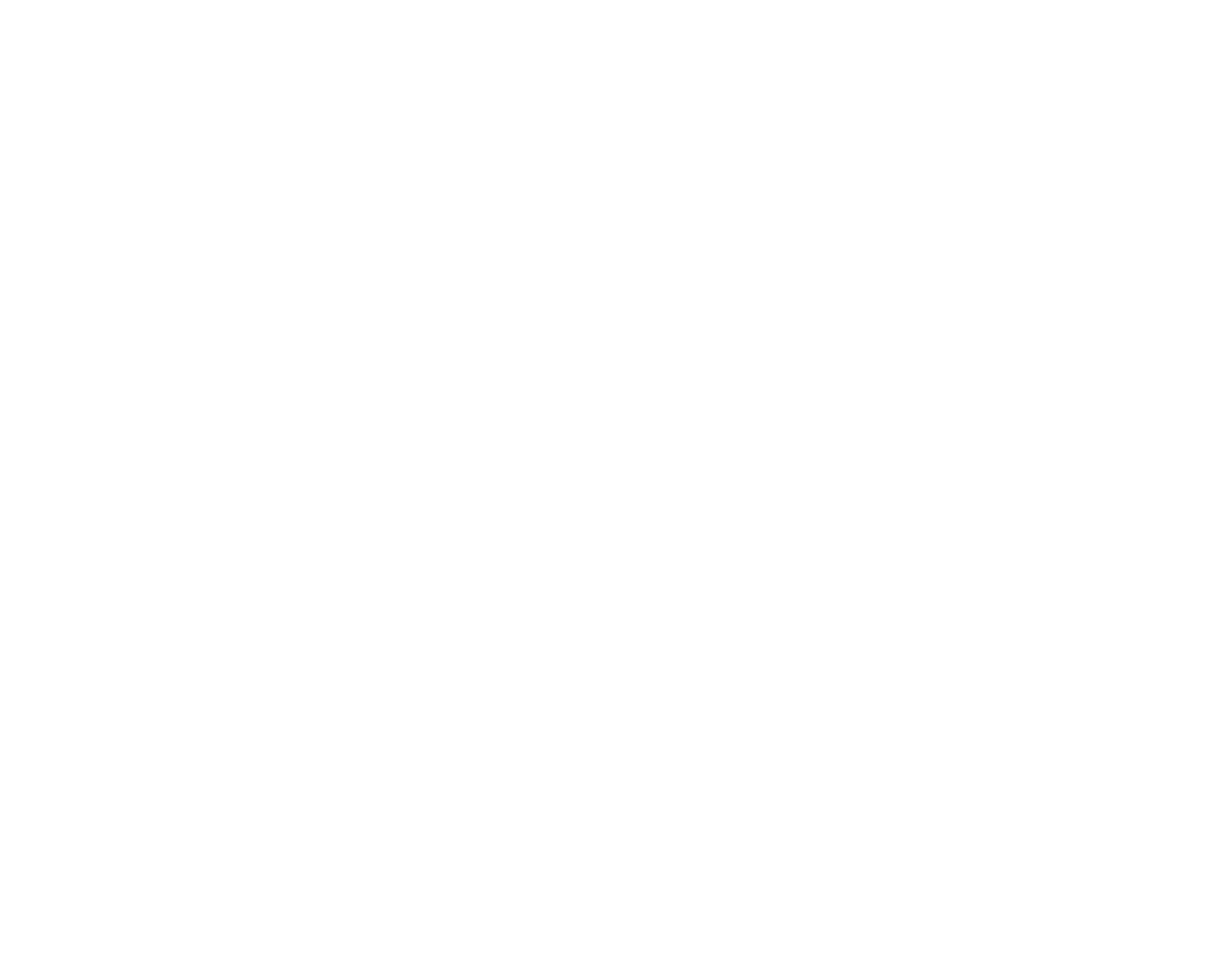### **CITY OF RANCHO PALOS VERDES SUMMARY OF EXPENDITURES - ALL FUNDS**

#### **November 30, 2020**

|             |                                   |                       | FY 2020-21                      |                    |                                        | FY 2019-20  |                                        |                                                   |           |
|-------------|-----------------------------------|-----------------------|---------------------------------|--------------------|----------------------------------------|-------------|----------------------------------------|---------------------------------------------------|-----------|
| <b>FUND</b> | <b>FUND DESCRIPTION</b>           | <b>REVISED BUDGET</b> | <b>YTD ACTUALS</b>              | <b>YTD ENCUMB.</b> | <b>YTD ACTUALS +</b><br><b>ENCUMB.</b> | <b>USED</b> | <b>YTD ACTUALS +</b><br><b>ENCUMB.</b> | YEAR OVER YEAR CHANGE<br><b>ACTUALS + ENCUMB.</b> |           |
|             | <b>101 GENERAL FUND</b>           |                       |                                 |                    |                                        |             |                                        |                                                   |           |
|             | <b>CITY COUNCIL</b>               | 102,900<br>\$         | $\ddot{\varsigma}$<br>35,589 \$ |                    | $0\quad$ \$<br>35,589                  | 34.6%       | 42,353<br>\$                           | (56, 764)                                         | $-16.0%$  |
|             | <b>LEGAL SERVICES</b>             | 1,000,000             | 379,690                         | $\mathbf 0$        | 379,690                                | 38.0%       | 407,565                                | (27, 875)                                         | $-6.8%$   |
|             | <b>CITY CLERK</b>                 | 541,000               | 148,303                         | 2,871              | 151,175                                | 27.9%       | 206,330                                | (55, 156)                                         | $-26.7%$  |
|             | <b>CITY MANAGER</b>               | 770,300               | 243,124                         | $\mathbf 0$        | 243,124                                | 31.6%       | 268,341                                | (25, 217)                                         | $-9.4%$   |
|             | <b>CITY ADMINISTRATION</b>        | 456,400               | 76,964                          | 26,725             | 103,689                                | 22.7%       | 174,071                                | (70, 382)                                         | $-40.4%$  |
|             | <b>HUMAN RESOURCES</b>            | 316,000               | 130,489                         | 859                | 131,347                                | 41.6%       | 166,617                                | (35, 270)                                         | $-21.2%$  |
|             | <b>INFORMATION TECHNOLOGIES</b>   | 1,191,800             | 421,061                         | 285,691            | 706,752                                | 59.3%       | 658,166                                | 48,585                                            | 7.4%      |
|             | <b>FINANCE</b>                    | 1,566,572             | 547,109                         | 56,385             | 603,494                                | 38.5%       | 735,707                                | (132, 213)                                        | $-18.0%$  |
|             | PUBLIC WORKS                      | 5,424,384             | 1,399,090                       | 1,708,303          | 3,107,393                              | 57.3%       | 3,965,160                              | (857, 768)                                        | $-21.6%$  |
|             | <b>COMMUNITY DEVELOPMENT</b>      | 3,145,800             | 895,174                         | 338,729            | 1,233,902                              | 39.2%       | 1,675,785                              | (441,883)                                         | $-26.4%$  |
|             | <b>RECREATIONAL &amp; PARKS</b>   | 3,226,029             | 977,866                         | 79,751             | 1,057,616                              | 32.8%       | 1,123,009                              | (65, 393)                                         | $-5.8%$   |
|             | PUBLIC SAFETY                     | 7,357,200             | 2,425,717                       | 4,748,080          | 7,173,797                              | 97.5%       | 6,770,771                              | 403,027                                           | 6.0%      |
|             | NON-DEPARTMENTAL                  | 1,880,189             | 292,689                         | 86,057             | 378,746                                | 20.1%       | 579,017                                | (200, 271)                                        | -34.6%    |
|             | <b>TRANSFERS OUT</b>              | 1,964,000             | 491,000                         | $\mathbf{0}$       | 491,000                                | 25.0%       | 1,029,225                              | (538, 225)                                        | $-52.3%$  |
|             | <b>EMERGENCY OPERATION CENTER</b> | $\mathbf 0$           | 169,238                         | 54,302             | 223,540                                | 0.0%        | 0                                      | 223,540                                           | $0.0\%$   |
|             | <b>TOTAL GENERAL FUND</b>         | 28,942,574            | 8,633,101                       | 7,387,752          | 16,020,853                             | 55.4%       | 17,802,116                             | (1,781,263)                                       | $-10.0\%$ |
|             |                                   |                       |                                 |                    |                                        |             |                                        |                                                   |           |
|             | <b>200 SPECIAL REVENUE FUNDS</b>  |                       |                                 |                    |                                        |             |                                        |                                                   |           |
|             | 202 STREET MAINTENANCE            | 3,061,650             | 1,790,747                       | 953,366            | 2,744,112                              | 89.6%       | 849,272                                | 1,894,840                                         | 223.1%    |
|             | 209 EL PRADO LIGHTING DISTRICT    | 800                   | $\mathbf{0}$                    | $\overline{0}$     | $\mathbf 0$                            | 0.0%        | $\mathbf 0$                            | $\mathbf{0}$                                      | 0.0%      |
|             | 211 1911 ACT STREET LIGHTING      | 862,490               | 102,675                         | 526,650            | 629,325                                | 73.0%       | 696,998                                | (67, 673)                                         | $-9.7%$   |
|             | 213 WASTE REDUCTION               | 287,500               | 67,671                          | 101,550            | 169,221                                | 58.9%       | 178,856                                | (9,635)                                           | $-5.4%$   |
|             | 214 AIR QUALITY MANAGEMENT        | 57,000                | 13,730                          | 42,029             | 55,759                                 | 97.8%       | 0                                      | 55,759                                            | 0.0%      |
|             | 215 PROPOSITION C                 | 950,379               | 571                             | 900,034            | 900,605                                | 94.8%       | 687,181                                | 213,424                                           | 31.1%     |
|             | 216 PROPOSITION A                 | 1,471,129             | 853,249                         | 595,792            | 1,449,041                              | 98.5%       | 45,456                                 | 1,403,586                                         | 3087.8%   |
|             | 217 PUBLIC SAFETY GRANTS          | 130,000               | 32,500                          | $\mathbf{0}$       | 32,500                                 | 25.0%       | 43,750                                 | (11,250)                                          | $-25.7%$  |
|             | 220 MEASURE R                     | 1,033,802             | 22,353                          | 763,360            | 785,713                                | 76.0%       | 363,669                                | 422,044                                           | 116.1%    |
|             | 221 MEASURE M                     | 536,000               | 99,277                          | 173,014            | 272,291                                | 50.8%       | 535,000                                | (262, 709)                                        | $-49.1%$  |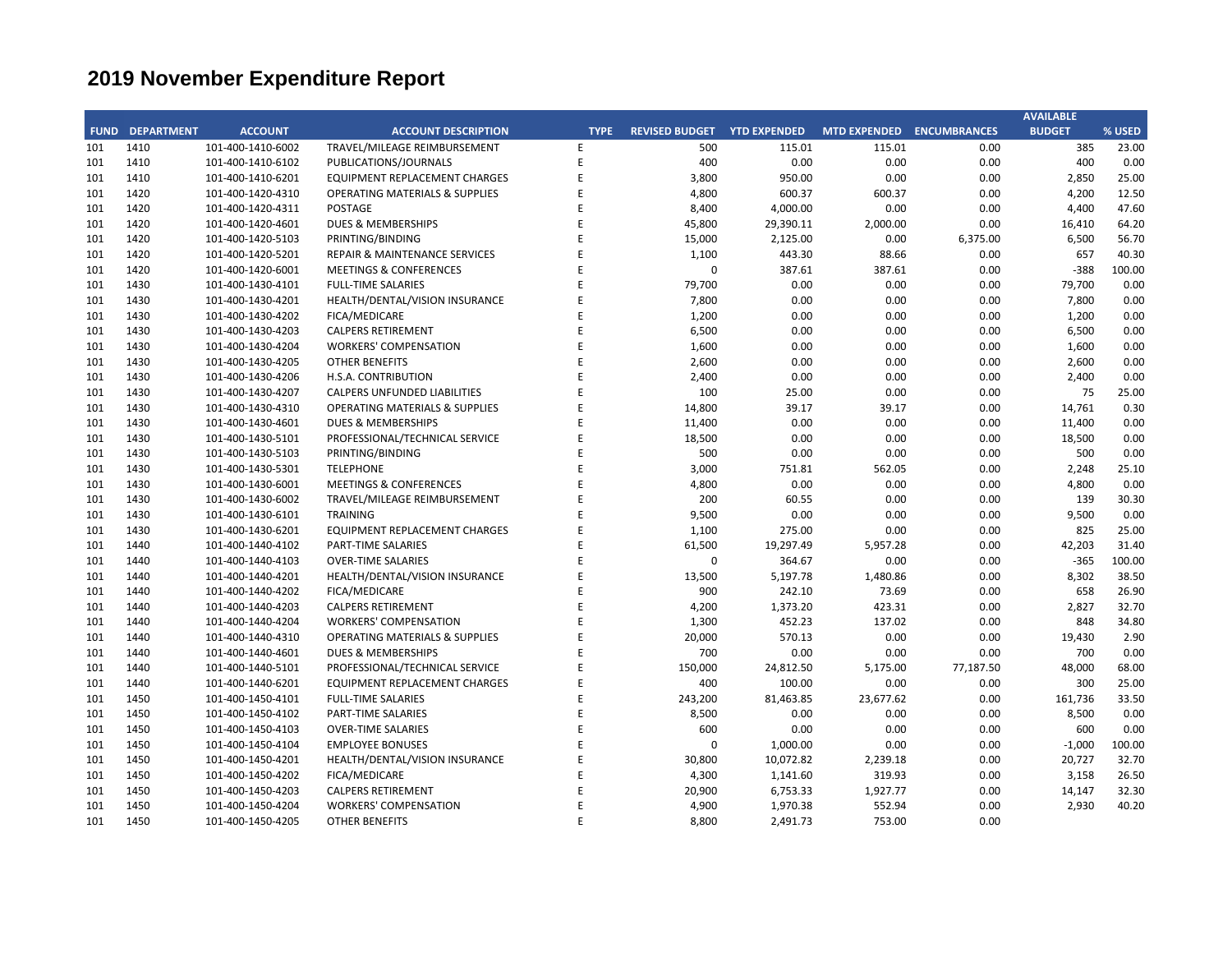# **CITY OF RANCHO PALOS VERDES SUMMARY OF EXPENDITURES - ALL FUNDS**

#### **November 30, 2020**

|             |                                              |                       | FY 2020-21         |                    |                                        | FY 2019-20  |                                        |                                                   |          |
|-------------|----------------------------------------------|-----------------------|--------------------|--------------------|----------------------------------------|-------------|----------------------------------------|---------------------------------------------------|----------|
| <b>FUND</b> | <b>FUND DESCRIPTION</b>                      | <b>REVISED BUDGET</b> | <b>YTD ACTUALS</b> | <b>YTD ENCUMB.</b> | <b>YTD ACTUALS +</b><br><b>ENCUMB.</b> | <b>USED</b> | <b>YTD ACTUALS +</b><br><b>ENCUMB.</b> | YEAR OVER YEAR CHANGE<br><b>ACTUALS + ENCUMB.</b> |          |
|             | 222 HABITAT RESTORATION                      | 184,900               | 46,225             | 138,675            | 184,900                                | 100.0%      | 179,497                                | 5,403                                             | 3.0%     |
|             | 223 SUBREGION ONE MAINTENANCE                | 41,600                | 12,699             | 8,082              | 20,781                                 | 50.0%       | 32,655                                 | (11, 874)                                         | $-36.4%$ |
|             | 224 MEASURE A MAINTENANCE                    | 100,000               | 25,000             | 0                  | 25,000                                 | 25.0%       | 25,000                                 | 0                                                 | 0.0%     |
| 225         | ABALONE COVE SEWER DISTRICT                  | 151,715               | 31,637             | 82,217             | 113,854                                | 75.0%       | 54,301                                 | 59,553                                            | 109.7%   |
|             | 227 GINSBERG CULTURAL ARTS BLDG.             | $\Omega$              | 0                  | 0                  | 0                                      | 0.0%        | 0                                      | $\mathbf 0$                                       | 0.0%     |
|             | 228 DONOR RESTRICTED CONTRIBUTIONS           | 38,422                | 1,865              | 24,557             | 26,422                                 | 68.8%       | 23,181                                 | 3,241                                             | 14.0%    |
|             | <b>TOTAL SPECIAL REVENUE FUNDS</b>           | 8,907,386             | 3,100,198          | 4,309,327          | 7,409,525                              | 83.2%       | 3,714,818                              | 3,694,708                                         | 99.5%    |
|             |                                              |                       |                    |                    |                                        |             |                                        |                                                   |          |
| 300         | <b>CAPITAL PROJECTS FUNDS</b>                |                       |                    |                    |                                        |             |                                        |                                                   |          |
|             | 310 COMMUNITY DEVELOPMENT BLOCK GRANT (CDBG) | 162,999               | 8,404              | 33,995             | 42,399                                 | 26.0%       | 161,261                                | (118, 862)                                        | $-73.7%$ |
|             | 330 INFRASTRUCTURE IMPROVEMENTS              | 3,792,310             | 204,244            | 1,413,769          | 1,618,013                              | 42.7%       | 5,867,960                              | (4, 249, 947)                                     | $-72.4%$ |
|             | 331 FEDERAL GRANTS                           | $\mathbf 0$           | 0                  | $\mathbf 0$        | 0                                      | 0.0%        | 0                                      | $\mathbf 0$                                       | 0.0%     |
|             | 332 STATE GRANTS                             | 212,945               | 29,381             | 182,182            | 211,563                                | 99.4%       | 496,778                                | (285, 215)                                        | $-57.4%$ |
|             | 334 QUIMBY PARK DEVELOPMENT                  | 267,990               | 0                  | 267,990            | 267,990                                | 100.0%      | 862,706                                | (594, 716)                                        | $-68.9%$ |
|             | 336 LOW-MODERATE INCOME HOUSING              | $\mathbf 0$           | $\mathbf{0}$       | $\mathbf{0}$       | $\mathbf 0$                            | 0.0%        | $\mathbf 0$                            | $\mathbf{0}$                                      | 0.0%     |
|             | 338 DEVELOPMENT IMPACT MITIGATION (EET)      | 210,000               | 49,607             | 103,689            | 153,296                                | 73.0%       | 304,784                                | (151, 488)                                        | $-49.7%$ |
|             | 343 MEASURE W                                | 213,537               | $\mathbf{0}$       | 213,537            | 213,537                                | 100.0%      | 0                                      | 213,537                                           | 0.0%     |
|             | <b>TOTAL CAPITAL PROJECTS FUNDS</b>          | 4,859,781             | 291,636            | 2,215,161          | 2,506,798                              | 51.6%       | 7,693,488                              | (5, 186, 690)                                     | $-67.4%$ |
|             |                                              |                       |                    |                    |                                        |             |                                        |                                                   |          |
| 600         | <b>INTERNAL SERVICE FUND</b>                 |                       |                    |                    |                                        |             |                                        |                                                   |          |
|             | 681 EQUIPMENT REPLACEMENT                    | 788,997               | 66,269             | 106,840            | 173,109                                | 21.9%       | 273,280                                | (100, 171)                                        | $-36.7%$ |
|             | <b>TOTAL INTERNAL SERVICE FUNDS</b>          | 788,997               | 66,269             | 106,840            | 173,109                                | 21.9%       | 273,280                                | (100, 171)                                        | $-36.7%$ |
|             |                                              |                       |                    |                    |                                        |             |                                        |                                                   |          |
|             | <b>REDEVELOPMENT AGENCY</b>                  |                       |                    |                    |                                        |             |                                        |                                                   |          |
|             | 701 REDEVELOPMENT OBLIGATION                 | $\Omega$              | 275                | 0                  | 275                                    | 0.0%        | 257.70<br>S.                           | 17                                                | 6.7%     |
|             | <b>TOTAL REDEVELOPMENT AGENCY</b>            | 0                     | 275                | $\mathbf{0}$       | 275                                    | 0.0%        | 258                                    | 17                                                | 6.7%     |